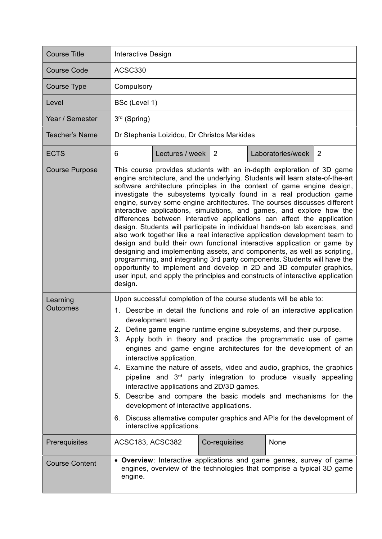| <b>Course Title</b>         | <b>Interactive Design</b>                                                                                                                                                                                                                                                                                                                                                                                                                                                                                                                                                                                                                                                                                                                                                                                                                                                                                                                                                                                                                                                                                        |                 |               |  |                   |                |  |
|-----------------------------|------------------------------------------------------------------------------------------------------------------------------------------------------------------------------------------------------------------------------------------------------------------------------------------------------------------------------------------------------------------------------------------------------------------------------------------------------------------------------------------------------------------------------------------------------------------------------------------------------------------------------------------------------------------------------------------------------------------------------------------------------------------------------------------------------------------------------------------------------------------------------------------------------------------------------------------------------------------------------------------------------------------------------------------------------------------------------------------------------------------|-----------------|---------------|--|-------------------|----------------|--|
| <b>Course Code</b>          | ACSC330                                                                                                                                                                                                                                                                                                                                                                                                                                                                                                                                                                                                                                                                                                                                                                                                                                                                                                                                                                                                                                                                                                          |                 |               |  |                   |                |  |
| <b>Course Type</b>          | Compulsory                                                                                                                                                                                                                                                                                                                                                                                                                                                                                                                                                                                                                                                                                                                                                                                                                                                                                                                                                                                                                                                                                                       |                 |               |  |                   |                |  |
| Level                       | BSc (Level 1)                                                                                                                                                                                                                                                                                                                                                                                                                                                                                                                                                                                                                                                                                                                                                                                                                                                                                                                                                                                                                                                                                                    |                 |               |  |                   |                |  |
| Year / Semester             | 3rd (Spring)                                                                                                                                                                                                                                                                                                                                                                                                                                                                                                                                                                                                                                                                                                                                                                                                                                                                                                                                                                                                                                                                                                     |                 |               |  |                   |                |  |
| Teacher's Name              | Dr Stephania Loizidou, Dr Christos Markides                                                                                                                                                                                                                                                                                                                                                                                                                                                                                                                                                                                                                                                                                                                                                                                                                                                                                                                                                                                                                                                                      |                 |               |  |                   |                |  |
| <b>ECTS</b>                 | 6                                                                                                                                                                                                                                                                                                                                                                                                                                                                                                                                                                                                                                                                                                                                                                                                                                                                                                                                                                                                                                                                                                                | Lectures / week | 2             |  | Laboratories/week | $\overline{2}$ |  |
| <b>Course Purpose</b>       | This course provides students with an in-depth exploration of 3D game<br>engine architecture, and the underlying. Students will learn state-of-the-art<br>software architecture principles in the context of game engine design,<br>investigate the subsystems typically found in a real production game<br>engine, survey some engine architectures. The courses discusses different<br>interactive applications, simulations, and games, and explore how the<br>differences between interactive applications can affect the application<br>design. Students will participate in individual hands-on lab exercises, and<br>also work together like a real interactive application development team to<br>design and build their own functional interactive application or game by<br>designing and implementing assets, and components, as well as scripting,<br>programming, and integrating 3rd party components. Students will have the<br>opportunity to implement and develop in 2D and 3D computer graphics,<br>user input, and apply the principles and constructs of interactive application<br>design. |                 |               |  |                   |                |  |
| Learning<br><b>Outcomes</b> | Upon successful completion of the course students will be able to:<br>1. Describe in detail the functions and role of an interactive application<br>development team.<br>Define game engine runtime engine subsystems, and their purpose.<br>2.<br>3. Apply both in theory and practice the programmatic use of game<br>engines and game engine architectures for the development of an<br>interactive application.<br>4. Examine the nature of assets, video and audio, graphics, the graphics<br>pipeline and 3 <sup>rd</sup> party integration to produce visually appealing<br>interactive applications and 2D/3D games.<br>5. Describe and compare the basic models and mechanisms for the<br>development of interactive applications.<br>6. Discuss alternative computer graphics and APIs for the development of<br>interactive applications.                                                                                                                                                                                                                                                             |                 |               |  |                   |                |  |
| Prerequisites               | ACSC183, ACSC382                                                                                                                                                                                                                                                                                                                                                                                                                                                                                                                                                                                                                                                                                                                                                                                                                                                                                                                                                                                                                                                                                                 |                 | Co-requisites |  | None              |                |  |
| <b>Course Content</b>       | • Overview: Interactive applications and game genres, survey of game<br>engines, overview of the technologies that comprise a typical 3D game<br>engine.                                                                                                                                                                                                                                                                                                                                                                                                                                                                                                                                                                                                                                                                                                                                                                                                                                                                                                                                                         |                 |               |  |                   |                |  |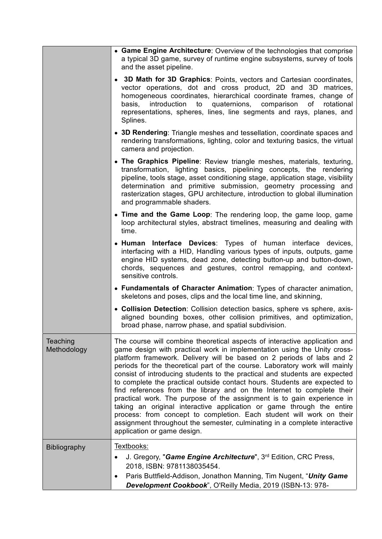|                         | • Game Engine Architecture: Overview of the technologies that comprise<br>a typical 3D game, survey of runtime engine subsystems, survey of tools<br>and the asset pipeline.                                                                                                                                                                                                                                                                                                                                                                                                                                                                                                                                                                                                                                                                                                               |
|-------------------------|--------------------------------------------------------------------------------------------------------------------------------------------------------------------------------------------------------------------------------------------------------------------------------------------------------------------------------------------------------------------------------------------------------------------------------------------------------------------------------------------------------------------------------------------------------------------------------------------------------------------------------------------------------------------------------------------------------------------------------------------------------------------------------------------------------------------------------------------------------------------------------------------|
|                         | • 3D Math for 3D Graphics: Points, vectors and Cartesian coordinates,<br>vector operations, dot and cross product, 2D and 3D matrices,<br>homogeneous coordinates, hierarchical coordinate frames, change of<br>basis, introduction<br>to quaternions, comparison<br>of<br>rotational<br>representations, spheres, lines, line segments and rays, planes, and<br>Splines.                                                                                                                                                                                                                                                                                                                                                                                                                                                                                                                  |
|                         | • 3D Rendering: Triangle meshes and tessellation, coordinate spaces and<br>rendering transformations, lighting, color and texturing basics, the virtual<br>camera and projection.                                                                                                                                                                                                                                                                                                                                                                                                                                                                                                                                                                                                                                                                                                          |
|                         | • The Graphics Pipeline: Review triangle meshes, materials, texturing,<br>transformation, lighting basics, pipelining concepts, the rendering<br>pipeline, tools stage, asset conditioning stage, application stage, visibility<br>determination and primitive submission, geometry processing and<br>rasterization stages, GPU architecture, introduction to global illumination<br>and programmable shaders.                                                                                                                                                                                                                                                                                                                                                                                                                                                                             |
|                         | • Time and the Game Loop: The rendering loop, the game loop, game<br>loop architectural styles, abstract timelines, measuring and dealing with<br>time.                                                                                                                                                                                                                                                                                                                                                                                                                                                                                                                                                                                                                                                                                                                                    |
|                         | • Human Interface Devices: Types of human interface devices,<br>interfacing with a HID, Handling various types of inputs, outputs, game<br>engine HID systems, dead zone, detecting button-up and button-down,<br>chords, sequences and gestures, control remapping, and context-<br>sensitive controls.                                                                                                                                                                                                                                                                                                                                                                                                                                                                                                                                                                                   |
|                         | • Fundamentals of Character Animation: Types of character animation,<br>skeletons and poses, clips and the local time line, and skinning,                                                                                                                                                                                                                                                                                                                                                                                                                                                                                                                                                                                                                                                                                                                                                  |
|                         | • Collision Detection: Collision detection basics, sphere vs sphere, axis-<br>aligned bounding boxes, other collision primitives, and optimization,<br>broad phase, narrow phase, and spatial subdivision.                                                                                                                                                                                                                                                                                                                                                                                                                                                                                                                                                                                                                                                                                 |
| Teaching<br>Methodology | The course will combine theoretical aspects of interactive application and<br>game design with practical work in implementation using the Unity cross-<br>platform framework. Delivery will be based on 2 periods of labs and 2<br>periods for the theoretical part of the course. Laboratory work will mainly<br>consist of introducing students to the practical and students are expected<br>to complete the practical outside contact hours. Students are expected to<br>find references from the library and on the Internet to complete their<br>practical work. The purpose of the assignment is to gain experience in<br>taking an original interactive application or game through the entire<br>process: from concept to completion. Each student will work on their<br>assignment throughout the semester, culminating in a complete interactive<br>application or game design. |
| <b>Bibliography</b>     | Textbooks:<br>J. Gregory, "Game Engine Architecture", 3rd Edition, CRC Press,<br>٠<br>2018, ISBN: 9781138035454.<br>Paris Buttfield-Addison, Jonathon Manning, Tim Nugent, "Unity Game<br>٠<br>Development Cookbook", O'Reilly Media, 2019 (ISBN-13: 978-                                                                                                                                                                                                                                                                                                                                                                                                                                                                                                                                                                                                                                  |